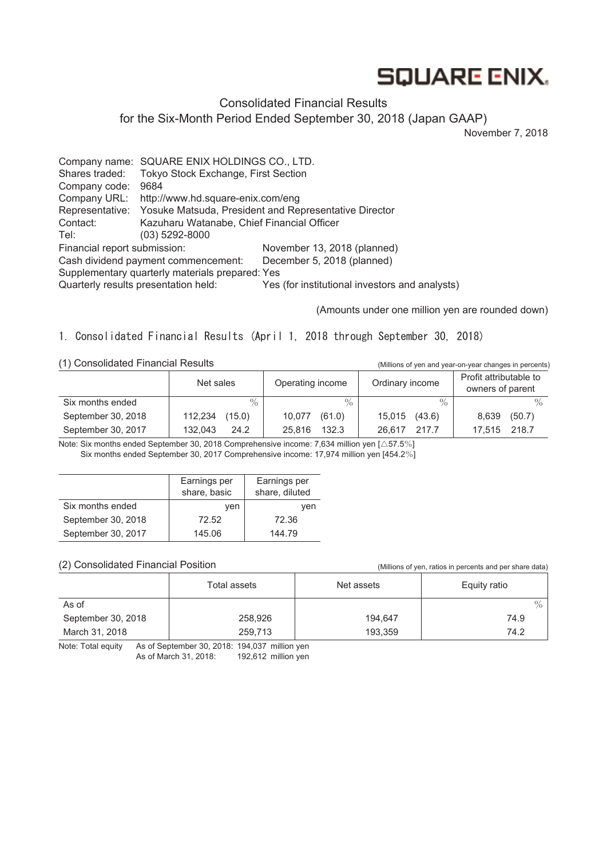# **SQUARE ENIX.**

#### Consolidated Financial Results

for the Six-Month Period Ended September 30, 2018 (Japan GAAP)

November 7, 2018

Company name: SQUARE ENIX HOLDINGS CO., LTD. Shares traded: Tokyo Stock Exchange, First Section Company code: 9684 Company URL: http://www.hd.square-enix.com/eng Representative: Yosuke Matsuda, President and Representative Director Contact: Kazuharu Watanabe, Chief Financial Officer Tel: (03) 5292-8000 Financial report submission: November 13, 2018 (planned) Cash dividend payment commencement: December 5, 2018 (planned) Supplementary quarterly materials prepared: Yes Quarterly results presentation held: Yes (for institutional investors and analysts)

(Amounts under one million yen are rounded down)

1. Consolidated Financial Results (April 1, 2018 through September 30, 2018)

(1) Consolidated Financial Results (Millions of yen and year-on-year changes in percents)

|                    | Net sales         | Operating income | Ordinary income  | Profit attributable to<br>owners of parent |  |
|--------------------|-------------------|------------------|------------------|--------------------------------------------|--|
| Six months ended   | $\frac{0}{0}$     | $\%$             | $\frac{0}{0}$    |                                            |  |
| September 30, 2018 | (15.0)<br>112,234 | (61.0)<br>10.077 | (43.6)<br>15,015 | (50.7)<br>8,639                            |  |
| September 30, 2017 | 132.043<br>24.2   | 132.3<br>25.816  | 217.7<br>26.617  | 17.515 218.7                               |  |

Note: Six months ended September 30, 2018 Comprehensive income: 7,634 million yen [△57.5%] Six months ended September 30, 2017 Comprehensive income: 17,974 million yen [454.2%]

|                    | Earnings per<br>share, basic | Earnings per<br>share, diluted |
|--------------------|------------------------------|--------------------------------|
| Six months ended   | ven                          | ven                            |
| September 30, 2018 | 72.52                        | 72.36                          |
| September 30, 2017 | 145.06                       | 144.79                         |

#### (2) Consolidated Financial Position (Millions of yen, ratios in percents and per share data)

|                    | Total assets | Net assets | Equity ratio  |  |
|--------------------|--------------|------------|---------------|--|
| As of              |              |            | $\frac{0}{0}$ |  |
| September 30, 2018 | 258,926      | 194.647    | 74.9          |  |
| March 31, 2018     | 259,713      | 193,359    | 74.2          |  |

Note: Total equity As of September 30, 2018: 194,037 million yen As of March 31, 2018: 192,612 million yen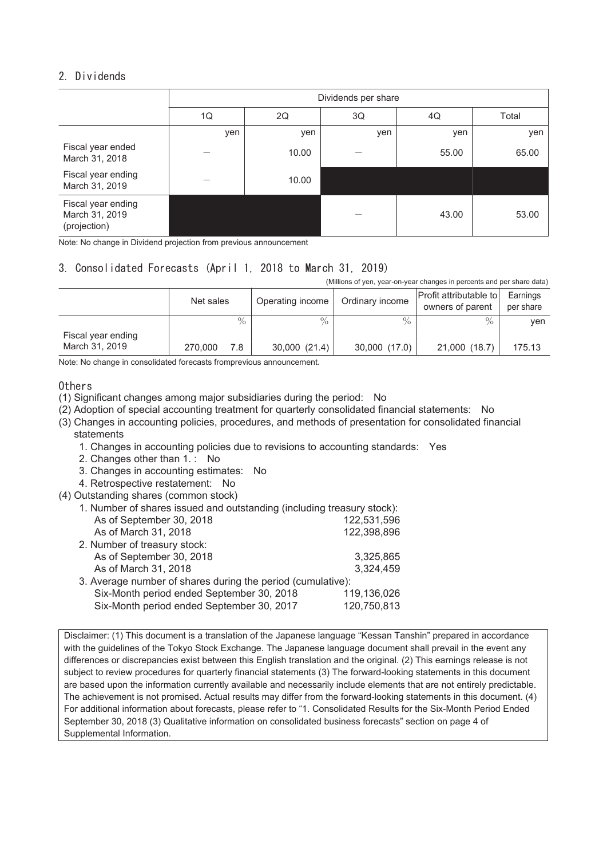# 2. Dividends

|                                                      | Dividends per share |       |          |       |       |  |  |
|------------------------------------------------------|---------------------|-------|----------|-------|-------|--|--|
|                                                      | 1Q                  | 2Q    | 3Q<br>4Q |       | Total |  |  |
|                                                      | yen                 | yen   | yen      | yen   | yen   |  |  |
| Fiscal year ended<br>March 31, 2018                  |                     | 10.00 |          | 55.00 | 65.00 |  |  |
| Fiscal year ending<br>March 31, 2019                 |                     | 10.00 |          |       |       |  |  |
| Fiscal year ending<br>March 31, 2019<br>(projection) |                     |       |          | 43.00 | 53.00 |  |  |

Note: No change in Dividend projection from previous announcement

# 3. Consolidated Forecasts (April 1, 2018 to March 31, 2019)

(Millions of yen, year-on-year changes in percents and per share data)

|                    | Net sales |      | Operating income | Ordinary income | Profit attributable to<br>owners of parent | Earnings<br>per share |
|--------------------|-----------|------|------------------|-----------------|--------------------------------------------|-----------------------|
|                    |           | $\%$ | $\frac{0}{0}$    | $\frac{0}{6}$   | $\%$                                       | ven                   |
| Fiscal year ending |           |      |                  |                 |                                            |                       |
| March 31, 2019     | 270,000   | 7.8  | 30,000 (21.4)    | 30,000 (17.0)   | 21,000 (18.7)                              | 175.13                |

Note: No change in consolidated forecasts fromprevious announcement.

#### Others

(1) Significant changes among major subsidiaries during the period: No

- (2) Adoption of special accounting treatment for quarterly consolidated financial statements: No
- (3) Changes in accounting policies, procedures, and methods of presentation for consolidated financial statements

1. Changes in accounting policies due to revisions to accounting standards: Yes

- 2. Changes other than 1. : No
- 3. Changes in accounting estimates: No
- 4. Retrospective restatement: No
- (4) Outstanding shares (common stock)

| 1. Number of shares issued and outstanding (including treasury stock): |             |
|------------------------------------------------------------------------|-------------|
| As of September 30, 2018                                               | 122,531,596 |
| As of March 31, 2018                                                   | 122,398,896 |
| 2. Number of treasury stock:                                           |             |
| As of September 30, 2018                                               | 3,325,865   |
| As of March 31, 2018                                                   | 3,324,459   |
| 3. Average number of shares during the period (cumulative):            |             |
| Six-Month period ended September 30, 2018                              | 119,136,026 |
| Six-Month period ended September 30, 2017                              | 120,750,813 |

Disclaimer: (1) This document is a translation of the Japanese language "Kessan Tanshin" prepared in accordance with the guidelines of the Tokyo Stock Exchange. The Japanese language document shall prevail in the event any differences or discrepancies exist between this English translation and the original. (2) This earnings release is not subject to review procedures for quarterly financial statements (3) The forward-looking statements in this document are based upon the information currently available and necessarily include elements that are not entirely predictable. The achievement is not promised. Actual results may differ from the forward-looking statements in this document. (4) For additional information about forecasts, please refer to "1. Consolidated Results for the Six-Month Period Ended September 30, 2018 (3) Qualitative information on consolidated business forecasts" section on page 4 of Supplemental Information.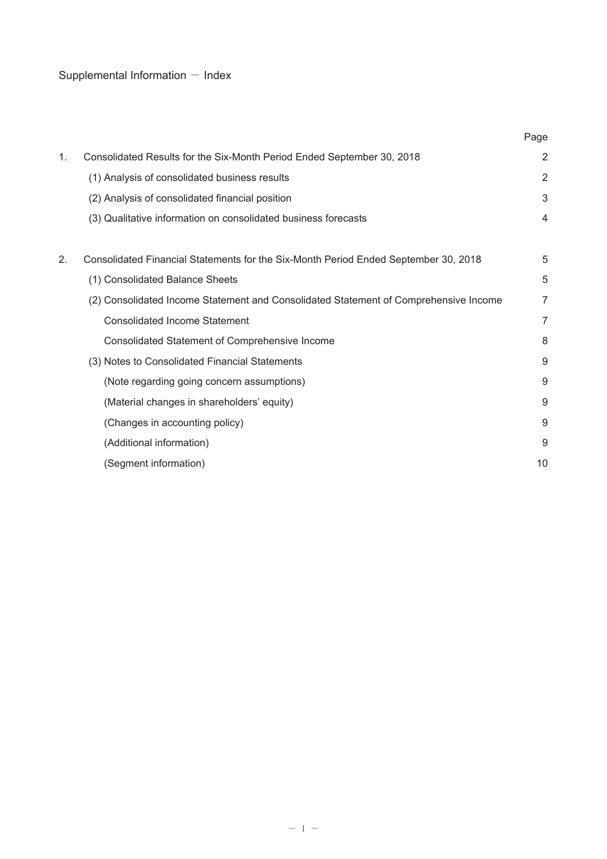# Supplemental Information  $-$  Index

|    |                                                                                      | Page           |
|----|--------------------------------------------------------------------------------------|----------------|
| 1. | Consolidated Results for the Six-Month Period Ended September 30, 2018               | $\overline{2}$ |
|    | (1) Analysis of consolidated business results                                        | $\overline{2}$ |
|    | (2) Analysis of consolidated financial position                                      | 3              |
|    | (3) Qualitative information on consolidated business forecasts                       | 4              |
|    |                                                                                      |                |
| 2. | Consolidated Financial Statements for the Six-Month Period Ended September 30, 2018  | 5              |
|    | (1) Consolidated Balance Sheets                                                      | 5              |
|    | (2) Consolidated Income Statement and Consolidated Statement of Comprehensive Income | 7              |
|    | <b>Consolidated Income Statement</b>                                                 | 7              |
|    | Consolidated Statement of Comprehensive Income                                       | 8              |
|    | (3) Notes to Consolidated Financial Statements                                       | 9              |
|    | (Note regarding going concern assumptions)                                           | 9              |
|    | (Material changes in shareholders' equity)                                           | 9              |
|    | (Changes in accounting policy)                                                       | 9              |
|    | (Additional information)                                                             | 9              |
|    | (Segment information)                                                                | 10             |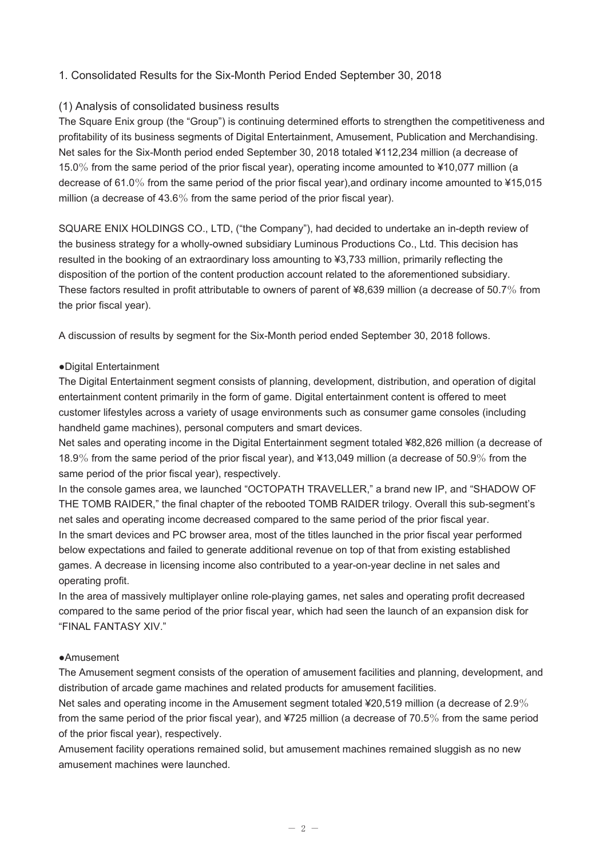# 1. Consolidated Results for the Six-Month Period Ended September 30, 2018

#### (1) Analysis of consolidated business results

The Square Enix group (the "Group") is continuing determined efforts to strengthen the competitiveness and profitability of its business segments of Digital Entertainment, Amusement, Publication and Merchandising. Net sales for the Six-Month period ended September 30, 2018 totaled ¥112,234 million (a decrease of 15.0% from the same period of the prior fiscal year), operating income amounted to ¥10,077 million (a decrease of 61.0% from the same period of the prior fiscal year),and ordinary income amounted to ¥15,015 million (a decrease of 43.6% from the same period of the prior fiscal year).

SQUARE ENIX HOLDINGS CO., LTD, ("the Company"), had decided to undertake an in-depth review of the business strategy for a wholly-owned subsidiary Luminous Productions Co., Ltd. This decision has resulted in the booking of an extraordinary loss amounting to ¥3,733 million, primarily reflecting the disposition of the portion of the content production account related to the aforementioned subsidiary. These factors resulted in profit attributable to owners of parent of ¥8,639 million (a decrease of 50.7% from the prior fiscal year).

A discussion of results by segment for the Six-Month period ended September 30, 2018 follows.

#### ●Digital Entertainment

The Digital Entertainment segment consists of planning, development, distribution, and operation of digital entertainment content primarily in the form of game. Digital entertainment content is offered to meet customer lifestyles across a variety of usage environments such as consumer game consoles (including handheld game machines), personal computers and smart devices.

Net sales and operating income in the Digital Entertainment segment totaled ¥82,826 million (a decrease of 18.9% from the same period of the prior fiscal year), and ¥13,049 million (a decrease of 50.9% from the same period of the prior fiscal year), respectively.

In the console games area, we launched "OCTOPATH TRAVELLER," a brand new IP, and "SHADOW OF THE TOMB RAIDER," the final chapter of the rebooted TOMB RAIDER trilogy. Overall this sub-segment's net sales and operating income decreased compared to the same period of the prior fiscal year. In the smart devices and PC browser area, most of the titles launched in the prior fiscal year performed below expectations and failed to generate additional revenue on top of that from existing established games. A decrease in licensing income also contributed to a year-on-year decline in net sales and operating profit.

In the area of massively multiplayer online role-playing games, net sales and operating profit decreased compared to the same period of the prior fiscal year, which had seen the launch of an expansion disk for "FINAL FANTASY XIV."

#### ●Amusement

The Amusement segment consists of the operation of amusement facilities and planning, development, and distribution of arcade game machines and related products for amusement facilities.

Net sales and operating income in the Amusement segment totaled ¥20,519 million (a decrease of 2.9% from the same period of the prior fiscal year), and ¥725 million (a decrease of 70.5% from the same period of the prior fiscal year), respectively.

Amusement facility operations remained solid, but amusement machines remained sluggish as no new amusement machines were launched.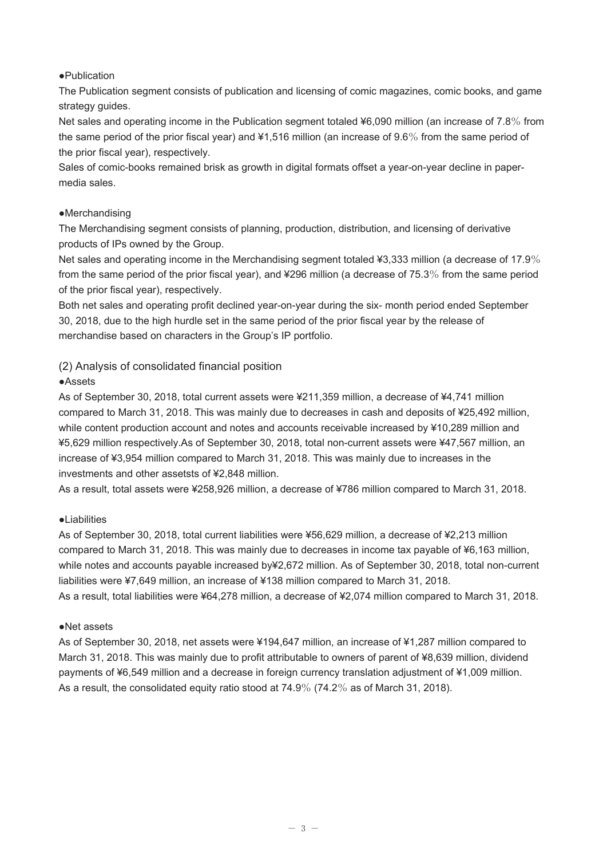#### ●Publication

The Publication segment consists of publication and licensing of comic magazines, comic books, and game strategy guides.

Net sales and operating income in the Publication segment totaled ¥6,090 million (an increase of 7.8% from the same period of the prior fiscal year) and ¥1,516 million (an increase of 9.6% from the same period of the prior fiscal year), respectively.

Sales of comic-books remained brisk as growth in digital formats offset a year-on-year decline in papermedia sales.

## ●Merchandising

The Merchandising segment consists of planning, production, distribution, and licensing of derivative products of IPs owned by the Group.

Net sales and operating income in the Merchandising segment totaled ¥3,333 million (a decrease of 17.9% from the same period of the prior fiscal year), and ¥296 million (a decrease of 75.3% from the same period of the prior fiscal year), respectively.

Both net sales and operating profit declined year-on-year during the six- month period ended September 30, 2018, due to the high hurdle set in the same period of the prior fiscal year by the release of merchandise based on characters in the Group's IP portfolio.

# (2) Analysis of consolidated financial position

## ●Assets

As of September 30, 2018, total current assets were ¥211,359 million, a decrease of ¥4,741 million compared to March 31, 2018. This was mainly due to decreases in cash and deposits of ¥25,492 million, while content production account and notes and accounts receivable increased by ¥10,289 million and ¥5,629 million respectively.As of September 30, 2018, total non-current assets were ¥47,567 million, an increase of ¥3,954 million compared to March 31, 2018. This was mainly due to increases in the investments and other assetsts of ¥2,848 million.

As a result, total assets were ¥258,926 million, a decrease of ¥786 million compared to March 31, 2018.

## ●Liabilities

As of September 30, 2018, total current liabilities were ¥56,629 million, a decrease of ¥2,213 million compared to March 31, 2018. This was mainly due to decreases in income tax payable of ¥6,163 million, while notes and accounts payable increased by¥2,672 million. As of September 30, 2018, total non-current liabilities were ¥7,649 million, an increase of ¥138 million compared to March 31, 2018. As a result, total liabilities were ¥64,278 million, a decrease of ¥2,074 million compared to March 31, 2018.

#### ●Net assets

As of September 30, 2018, net assets were ¥194,647 million, an increase of ¥1,287 million compared to March 31, 2018. This was mainly due to profit attributable to owners of parent of ¥8,639 million, dividend payments of ¥6,549 million and a decrease in foreign currency translation adjustment of ¥1,009 million. As a result, the consolidated equity ratio stood at 74.9% (74.2% as of March 31, 2018).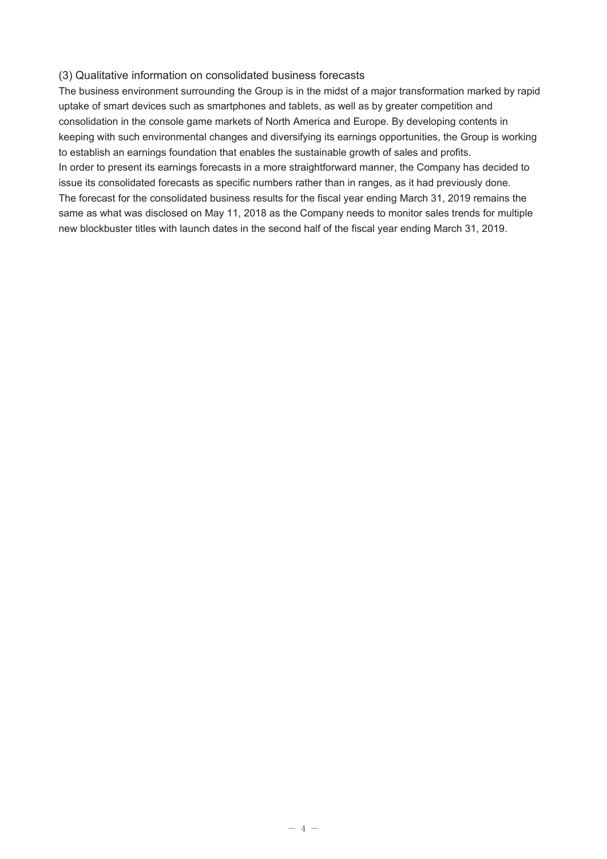#### (3) Qualitative information on consolidated business forecasts

The business environment surrounding the Group is in the midst of a major transformation marked by rapid uptake of smart devices such as smartphones and tablets, as well as by greater competition and consolidation in the console game markets of North America and Europe. By developing contents in keeping with such environmental changes and diversifying its earnings opportunities, the Group is working to establish an earnings foundation that enables the sustainable growth of sales and profits. In order to present its earnings forecasts in a more straightforward manner, the Company has decided to issue its consolidated forecasts as specific numbers rather than in ranges, as it had previously done. The forecast for the consolidated business results for the fiscal year ending March 31, 2019 remains the same as what was disclosed on May 11, 2018 as the Company needs to monitor sales trends for multiple new blockbuster titles with launch dates in the second half of the fiscal year ending March 31, 2019.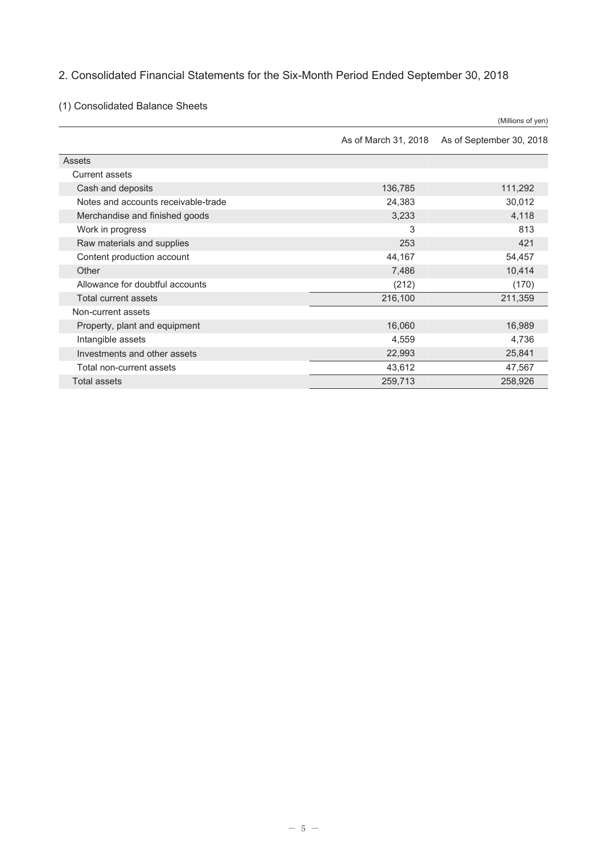# 2. Consolidated Financial Statements for the Six-Month Period Ended September 30, 2018

(1) Consolidated Balance Sheets

|                                     |                      | (Millions of yen)        |
|-------------------------------------|----------------------|--------------------------|
|                                     | As of March 31, 2018 | As of September 30, 2018 |
| Assets                              |                      |                          |
| <b>Current assets</b>               |                      |                          |
| Cash and deposits                   | 136,785              | 111,292                  |
| Notes and accounts receivable-trade | 24,383               | 30,012                   |
| Merchandise and finished goods      | 3,233                | 4,118                    |
| Work in progress                    | 3                    | 813                      |
| Raw materials and supplies          | 253                  | 421                      |
| Content production account          | 44,167               | 54,457                   |
| Other                               | 7,486                | 10,414                   |
| Allowance for doubtful accounts     | (212)                | (170)                    |
| Total current assets                | 216,100              | 211,359                  |
| Non-current assets                  |                      |                          |
| Property, plant and equipment       | 16,060               | 16,989                   |
| Intangible assets                   | 4,559                | 4,736                    |
| Investments and other assets        | 22,993               | 25,841                   |
| Total non-current assets            | 43,612               | 47,567                   |
| <b>Total assets</b>                 | 259,713              | 258,926                  |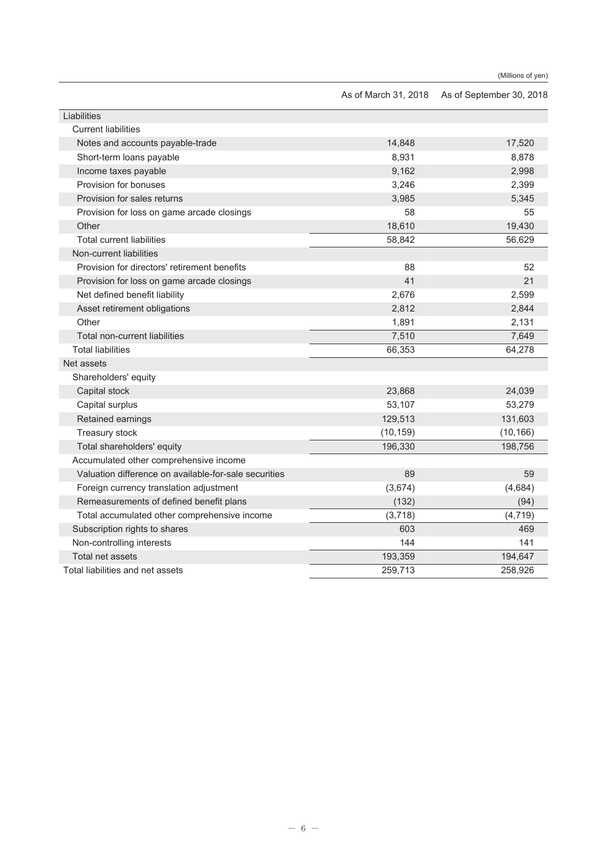| As of March 31, 2018 As of September 30, 2018 |  |
|-----------------------------------------------|--|
|-----------------------------------------------|--|

| Liabilities                                           |           |           |
|-------------------------------------------------------|-----------|-----------|
| <b>Current liabilities</b>                            |           |           |
| Notes and accounts payable-trade                      | 14,848    | 17,520    |
| Short-term loans payable                              | 8,931     | 8,878     |
| Income taxes payable                                  | 9,162     | 2,998     |
| Provision for bonuses                                 | 3,246     | 2,399     |
| Provision for sales returns                           | 3,985     | 5,345     |
| Provision for loss on game arcade closings            | 58        | 55        |
| Other                                                 | 18,610    | 19,430    |
| <b>Total current liabilities</b>                      | 58,842    | 56,629    |
| Non-current liabilities                               |           |           |
| Provision for directors' retirement benefits          | 88        | 52        |
| Provision for loss on game arcade closings            | 41        | 21        |
| Net defined benefit liability                         | 2,676     | 2,599     |
| Asset retirement obligations                          | 2,812     | 2,844     |
| Other                                                 | 1,891     | 2,131     |
| Total non-current liabilities                         | 7,510     | 7,649     |
| <b>Total liabilities</b>                              | 66,353    | 64,278    |
| Net assets                                            |           |           |
| Shareholders' equity                                  |           |           |
| Capital stock                                         | 23,868    | 24,039    |
| Capital surplus                                       | 53,107    | 53,279    |
| Retained earnings                                     | 129,513   | 131,603   |
| Treasury stock                                        | (10, 159) | (10, 166) |
| Total shareholders' equity                            | 196,330   | 198,756   |
| Accumulated other comprehensive income                |           |           |
| Valuation difference on available-for-sale securities | 89        | 59        |
| Foreign currency translation adjustment               | (3,674)   | (4,684)   |
| Remeasurements of defined benefit plans               | (132)     | (94)      |
| Total accumulated other comprehensive income          | (3,718)   | (4, 719)  |
| Subscription rights to shares                         | 603       | 469       |
| Non-controlling interests                             | 144       | 141       |
| Total net assets                                      | 193,359   | 194,647   |
| Total liabilities and net assets                      | 259,713   | 258,926   |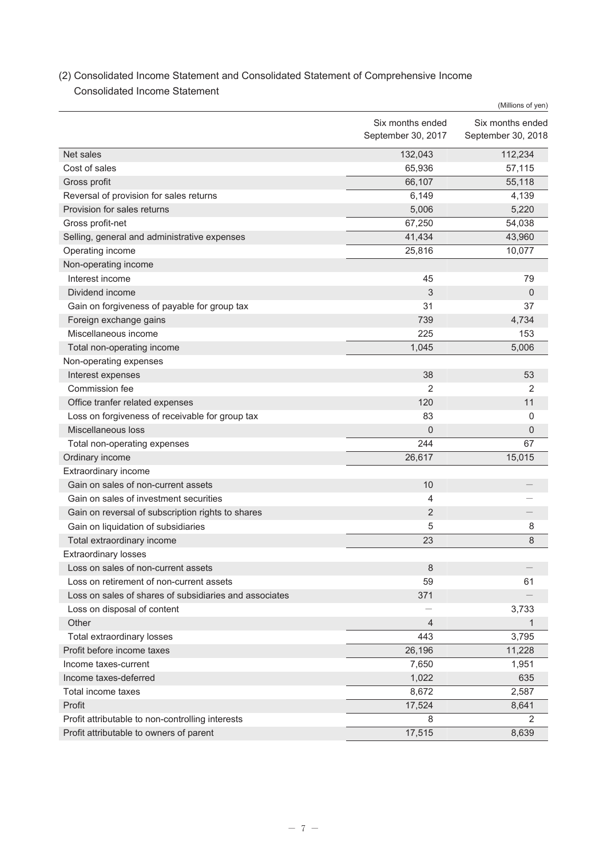# (2) Consolidated Income Statement and Consolidated Statement of Comprehensive Income Consolidated Income Statement

|                                                        |                                        | (Millions of yen)                      |
|--------------------------------------------------------|----------------------------------------|----------------------------------------|
|                                                        | Six months ended<br>September 30, 2017 | Six months ended<br>September 30, 2018 |
|                                                        |                                        |                                        |
| Net sales                                              | 132,043                                | 112,234                                |
| Cost of sales                                          | 65,936                                 | 57,115                                 |
| Gross profit                                           | 66,107                                 | 55,118                                 |
| Reversal of provision for sales returns                | 6,149                                  | 4,139                                  |
| Provision for sales returns                            | 5,006                                  | 5,220                                  |
| Gross profit-net                                       | 67,250                                 | 54,038                                 |
| Selling, general and administrative expenses           | 41,434                                 | 43,960                                 |
| Operating income                                       | 25,816                                 | 10,077                                 |
| Non-operating income                                   |                                        |                                        |
| Interest income                                        | 45                                     | 79                                     |
| Dividend income                                        | 3                                      | 0                                      |
| Gain on forgiveness of payable for group tax           | 31                                     | 37                                     |
| Foreign exchange gains                                 | 739                                    | 4,734                                  |
| Miscellaneous income                                   | 225                                    | 153                                    |
| Total non-operating income                             | 1,045                                  | 5,006                                  |
| Non-operating expenses                                 |                                        |                                        |
| Interest expenses                                      | 38                                     | 53                                     |
| Commission fee                                         | $\overline{2}$                         | 2                                      |
| Office tranfer related expenses                        | 120                                    | 11                                     |
| Loss on forgiveness of receivable for group tax        | 83                                     | 0                                      |
| Miscellaneous loss                                     | 0                                      | 0                                      |
| Total non-operating expenses                           | 244                                    | 67                                     |
| Ordinary income                                        | 26,617                                 | 15,015                                 |
| Extraordinary income                                   |                                        |                                        |
| Gain on sales of non-current assets                    | 10                                     |                                        |
| Gain on sales of investment securities                 | 4                                      |                                        |
| Gain on reversal of subscription rights to shares      | 2                                      |                                        |
| Gain on liquidation of subsidiaries                    | 5                                      | 8                                      |
| Total extraordinary income                             | 23                                     | 8                                      |
| <b>Extraordinary losses</b>                            |                                        |                                        |
| Loss on sales of non-current assets                    | 8                                      |                                        |
| Loss on retirement of non-current assets               | 59                                     | 61                                     |
| Loss on sales of shares of subsidiaries and associates | 371                                    |                                        |
| Loss on disposal of content                            |                                        | 3,733                                  |
| Other                                                  | $\overline{4}$                         | 1                                      |
| Total extraordinary losses                             | 443                                    | 3,795                                  |
| Profit before income taxes                             | 26,196                                 | 11,228                                 |
| Income taxes-current                                   | 7,650                                  | 1,951                                  |
| Income taxes-deferred                                  | 1,022                                  | 635                                    |
| Total income taxes                                     | 8,672                                  | 2,587                                  |
| Profit                                                 | 17,524                                 | 8,641                                  |
|                                                        | 8                                      | 2                                      |
| Profit attributable to non-controlling interests       |                                        |                                        |
| Profit attributable to owners of parent                | 17,515                                 | 8,639                                  |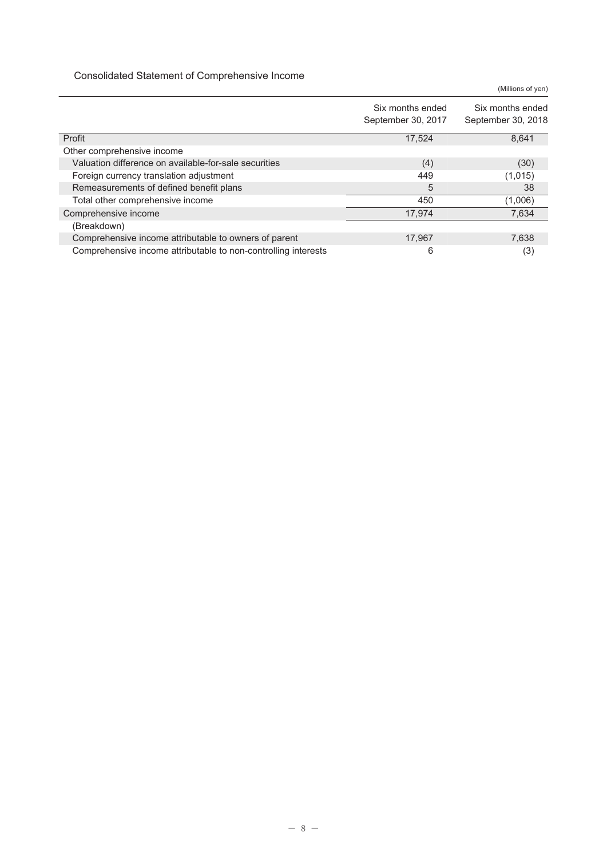Consolidated Statement of Comprehensive Income

Six months ended September 30, 2017 Six months ended September 30, 2018 Profit  $\begin{array}{cccccccccccccc} 8,641 & 8,641 & 8,641 & 8,641 & 8,641 & 8,641 & 8,641 & 8,641 & 8,641 & 8,641 & 8,641 & 8,641 & 8,641 & 8,641 & 8,641 & 8,641 & 8,641 & 8,641 & 8,641 & 8,641 & 8,641 & 8,641 & 8,641 & 8,641 & 8,641 & 8,641 & 8,641 & 8,641 & 8,641 &$ Other comprehensive income Valuation difference on available-for-sale securities (4) (30) Foreign currency translation adjustment  $449$  (1,015) Remeasurements of defined benefit plans 5 38 Total other comprehensive income  $\overline{450}$  (1,006) Comprehensive income 7,634 (Breakdown) Comprehensive income attributable to owners of parent 17,967 17,967 7,638 Comprehensive income attributable to non-controlling interests 6 (3)

(Millions of yen)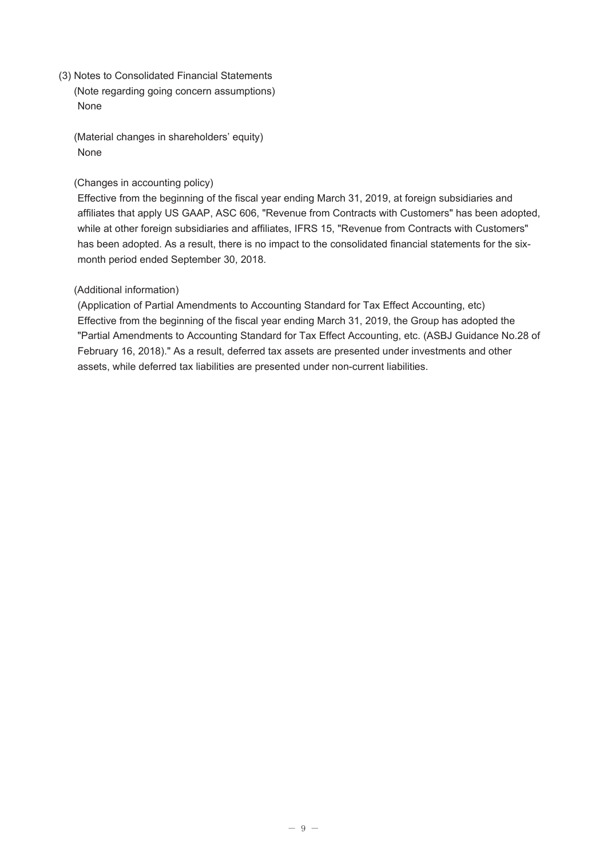(3) Notes to Consolidated Financial Statements (Note regarding going concern assumptions) None

(Material changes in shareholders' equity) None

#### (Changes in accounting policy)

Effective from the beginning of the fiscal year ending March 31, 2019, at foreign subsidiaries and affiliates that apply US GAAP, ASC 606, "Revenue from Contracts with Customers" has been adopted, while at other foreign subsidiaries and affiliates, IFRS 15, "Revenue from Contracts with Customers" has been adopted. As a result, there is no impact to the consolidated financial statements for the sixmonth period ended September 30, 2018.

## (Additional information)

(Application of Partial Amendments to Accounting Standard for Tax Effect Accounting, etc) Effective from the beginning of the fiscal year ending March 31, 2019, the Group has adopted the "Partial Amendments to Accounting Standard for Tax Effect Accounting, etc. (ASBJ Guidance No.28 of February 16, 2018)." As a result, deferred tax assets are presented under investments and other assets, while deferred tax liabilities are presented under non-current liabilities.